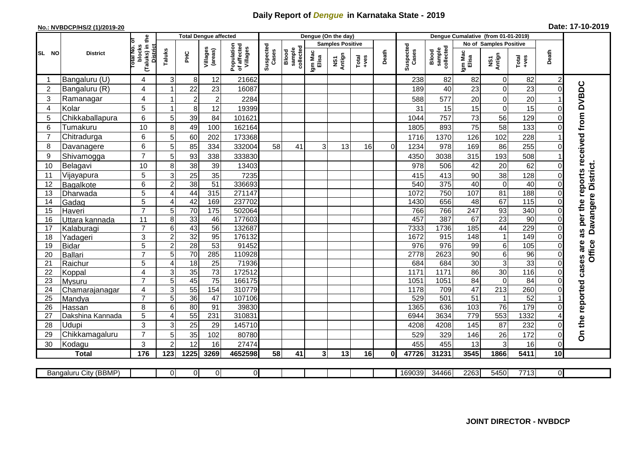## **Daily Report of** *Dengue* **in Karnataka State - 2019**

## **No.: NVBDCP/HS/2 (1)/2019-20**

|                |                       | the                                                |                 | <b>Total Dengue affected</b> |                     |                                       |                    |                              |                  | Dengue (On the day)     |               |          |                    |                              |                  |                        |                   |                |                                        |
|----------------|-----------------------|----------------------------------------------------|-----------------|------------------------------|---------------------|---------------------------------------|--------------------|------------------------------|------------------|-------------------------|---------------|----------|--------------------|------------------------------|------------------|------------------------|-------------------|----------------|----------------------------------------|
|                |                       |                                                    |                 |                              |                     |                                       |                    |                              |                  | <b>Samples Positive</b> |               |          |                    |                              |                  | No of Samples Positive |                   |                |                                        |
| SL NO          | <b>District</b>       | otal No. of<br>(Taluks) in t<br>District<br>blocks | Taluks          | <b>PHC</b>                   | Villages<br>(areas) | Population<br>of affected<br>Villages | Suspected<br>Cases | sample<br>collected<br>Blood | Igm Mac<br>Elisa | NS1<br>Antign           | Total<br>+ves | Death    | Suspected<br>Cases | collected<br>sample<br>Blood | Igm Mac<br>Elisa | NS1<br>Antign          | Total<br>+ves     | Death          |                                        |
|                | Bangaluru (U)         | 4                                                  | 3               | 8                            | 12                  | 21662                                 |                    |                              |                  |                         |               |          | 238                | 82                           | 82               | 0                      | 82                | $\overline{2}$ |                                        |
| $\overline{2}$ | Bangaluru (R)         | 4                                                  |                 | 22                           | 23                  | 16087                                 |                    |                              |                  |                         |               |          | 189                | 40                           | 23               | $\mathbf 0$            | 23                |                |                                        |
| 3              | Ramanagar             | 4                                                  |                 | $\overline{2}$               | $\boldsymbol{2}$    | 2284                                  |                    |                              |                  |                         |               |          | 588                | 577                          | 20               | $\mathbf 0$            | 20                |                | as per the reports received from DVBDC |
| $\overline{4}$ | Kolar                 | 5                                                  | -1              | 8                            | 12                  | 19399                                 |                    |                              |                  |                         |               |          | 31                 | 15                           | 15               | $\mathbf 0$            | 15                |                |                                        |
| 5              | Chikkaballapura       | 6                                                  | 5               | 39                           | 84                  | 101621                                |                    |                              |                  |                         |               |          | 1044               | 757                          | 73               | 56                     | 129               |                |                                        |
| 6              | Tumakuru              | 10                                                 | 8               | 49                           | 100                 | 162164                                |                    |                              |                  |                         |               |          | 1805               | 893                          | 75               | 58                     | 133               |                |                                        |
| $\overline{7}$ | Chitradurga           | 6                                                  | 5               | 60                           | 202                 | 173368                                |                    |                              |                  |                         |               |          | 1716               | 1370                         | 126              | 102                    | 228               |                |                                        |
| 8              | Davanagere            | 6                                                  | 5               | 85                           | 334                 | 332004                                | 58                 | 41                           | 3                | 13                      | 16            | $\Omega$ | 1234               | 978                          | 169              | 86                     | 255               |                |                                        |
| 9              | Shivamogga            | $\overline{7}$                                     | 5               | 93                           | 338                 | 333830                                |                    |                              |                  |                         |               |          | 4350               | 3038                         | 315              | 193                    | 508               |                |                                        |
| 10             | Belagavi              | 10                                                 | 8               | 38                           | 39                  | 13403                                 |                    |                              |                  |                         |               |          | 978                | 506                          | 42               | 20                     | 62                |                |                                        |
| 11             | Vijayapura            | 5                                                  | 3               | $\overline{25}$              | 35                  | 7235                                  |                    |                              |                  |                         |               |          | 415                | 413                          | 90               | 38                     | 128               |                | Davangere District.                    |
| 12             | Bagalkote             | 6                                                  | $\overline{2}$  | 38                           | $\overline{51}$     | 336693                                |                    |                              |                  |                         |               |          | 540                | 375                          | 40               | $\overline{0}$         | 40                |                |                                        |
| 13             | Dharwada              | $\overline{5}$                                     | $\overline{4}$  | 44                           | 315                 | 271147                                |                    |                              |                  |                         |               |          | 1072               | 750                          | 107              | 81                     | 188               |                |                                        |
| 14             | Gadag                 | 5                                                  | $\overline{4}$  | 42                           | 169                 | 237702                                |                    |                              |                  |                         |               |          | 1430               | 656                          | 48               | 67                     | $\frac{115}{115}$ |                |                                        |
| 15             | Haveri                | $\overline{7}$                                     | 5               | 70                           | 175                 | 502064                                |                    |                              |                  |                         |               |          | 766                | 766                          | 247              | 93                     | 340               |                |                                        |
| 16             | Uttara kannada        | 11                                                 | 8               | 33                           | 46                  | 177603                                |                    |                              |                  |                         |               |          | 457                | 387                          | 67               | $\overline{23}$        | $\overline{90}$   |                |                                        |
| 17             | Kalaburagi            | $\overline{7}$                                     | $6\phantom{1}6$ | 43                           | 56                  | 132687                                |                    |                              |                  |                         |               |          | 7333               | 1736                         | 185              | 44                     | 229               |                |                                        |
| 18             | Yadageri              | 3                                                  | $\overline{2}$  | 32                           | 95                  | 176132                                |                    |                              |                  |                         |               |          | 1672               | 915                          | 148              | $\mathbf{1}$           | 149               |                |                                        |
| 19             | Bidar                 | 5                                                  | $\overline{c}$  | 28                           | $\overline{53}$     | 91452                                 |                    |                              |                  |                         |               |          | 976                | 976                          | 99               | 6                      | 105               |                | <b>Office</b>                          |
| 20             | Ballari               | $\overline{7}$                                     | 5               | 70                           | 285                 | 110928                                |                    |                              |                  |                         |               |          | 2778               | 2623                         | 90               | $\overline{6}$         | 96                |                |                                        |
| 21             | Raichur               | 5                                                  | 4               | 18                           | $\overline{25}$     | 71936                                 |                    |                              |                  |                         |               |          | 684                | 684                          | 30               | $\overline{3}$         | 33                |                |                                        |
| 22             | Koppal                | $\overline{\mathbf{4}}$                            | 3               | 35                           | $\overline{73}$     | 172512                                |                    |                              |                  |                         |               |          | 117'               | 1171                         | 86               | 30                     | $\frac{116}{116}$ |                |                                        |
| 23             | Mysuru                | $\overline{7}$                                     | $\overline{5}$  | 45                           | $\overline{75}$     | 166175                                |                    |                              |                  |                         |               |          | 1051               | 1051                         | 84               | $\mathbf 0$            | 84                |                |                                        |
| 24             | Chamarajanagar        | 4                                                  | $\overline{3}$  | 55                           | 154                 | 310779                                |                    |                              |                  |                         |               |          | 1178               | 709                          | 47               | 213                    | 260               |                |                                        |
| 25             | Mandya                | $\overline{7}$                                     | 5               | $\overline{36}$              | 47                  | 107106                                |                    |                              |                  |                         |               |          | 529                | 501                          | $\overline{51}$  | $\mathbf{1}$           | 52                |                |                                        |
| 26             | Hassan                | 8                                                  | 6               | 80                           | 91                  | 39830                                 |                    |                              |                  |                         |               |          | 1365               | 636                          | 103              | 76                     | 179               |                |                                        |
| 27             | Dakshina Kannada      | 5                                                  | $\overline{4}$  | 55                           | 231                 | 310831                                |                    |                              |                  |                         |               |          | 6944               | 3634                         | 779              | 553                    | 1332              |                |                                        |
| 28             | Udupi                 | 3                                                  | 3               | 25                           | 29                  | 145710                                |                    |                              |                  |                         |               |          | 4208               | 4208                         | 145              | 87                     | 232               |                | On the reported cases are              |
| 29             | Chikkamagaluru        | $\overline{7}$                                     | 5               | 35                           | 102                 | 80780                                 |                    |                              |                  |                         |               |          | 529                | 329                          | 146              | 26                     | 172               | $\Omega$       |                                        |
| 30             | Kodagu                | 3                                                  | $\overline{2}$  | 12                           | 16                  | 27474                                 |                    |                              |                  |                         |               |          | 455                | 455                          | 13               | 3                      | 16                | $\Omega$       |                                        |
|                | <b>Total</b>          | 176                                                | 123             | 1225                         | 3269                | 4652598                               | 58                 | 41                           | 3 <sup>l</sup>   | 13                      | 16            | 0I       | 47726              | 31231                        | 3545             | 1866                   | 5411              | 10             |                                        |
|                |                       |                                                    |                 |                              |                     |                                       |                    |                              |                  |                         |               |          |                    |                              |                  |                        |                   |                |                                        |
|                | Bangaluru City (BBMP) |                                                    | $\Omega$        | $\overline{0}$               | $\overline{0}$      | $\overline{0}$                        |                    |                              |                  |                         |               |          | 169039             | 34466                        | 2263             | 5450                   | 7713              | 0I             |                                        |